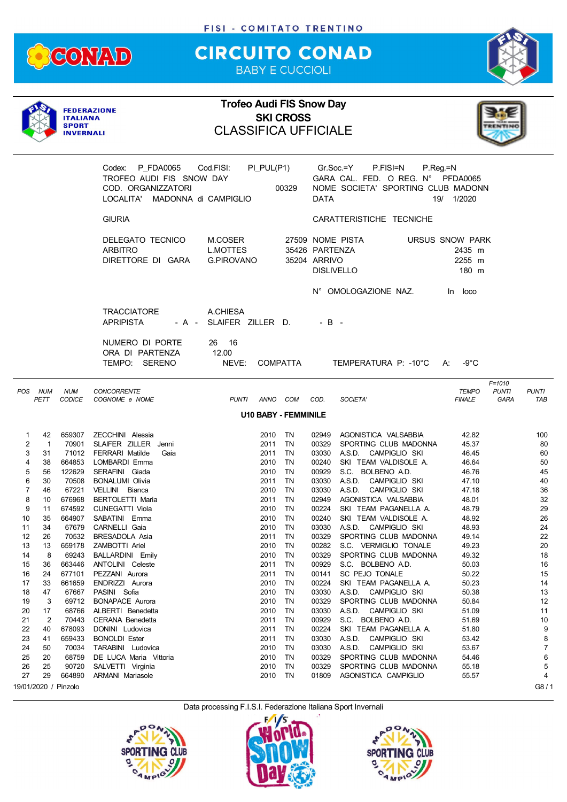

## **CIRCUITO CONAD** BABY E CUCCIOLI



|             |                            | <b>ITALIANA</b><br><b>SPORT</b><br><b>INVERNALI</b> | <b>FEDERAZIONE</b>                                                                                   | <b>Trofeo Audi FIS Snow Day</b><br><b>CLASSIFICA UFFICIALE</b> |                         | <b>SKI CROSS</b>            |                                                     |                                                                                                  |                                              |                                    |                     |
|-------------|----------------------------|-----------------------------------------------------|------------------------------------------------------------------------------------------------------|----------------------------------------------------------------|-------------------------|-----------------------------|-----------------------------------------------------|--------------------------------------------------------------------------------------------------|----------------------------------------------|------------------------------------|---------------------|
|             |                            |                                                     | Codex: P FDA0065<br>TROFEO AUDI FIS SNOW DAY<br>COD. ORGANIZZATORI<br>LOCALITA' MADONNA di CAMPIGLIO | Cod.FISI:                                                      | PI_PUL(P1)              | 00329                       | <b>DATA</b>                                         | Gr.Soc.=Y<br>P.FISI=N<br>GARA CAL. FED. O REG. N° PFDA0065<br>NOME SOCIETA' SPORTING CLUB MADONN | $P_{\cdot}$ Reg = N<br>19/ 1/2020            |                                    |                     |
|             |                            |                                                     | <b>GIURIA</b>                                                                                        |                                                                |                         |                             |                                                     | CARATTERISTICHE TECNICHE                                                                         |                                              |                                    |                     |
|             |                            |                                                     | DELEGATO TECNICO<br><b>ARBITRO</b><br>DIRETTORE DI GARA                                              | M.COSER<br><b>L.MOTTES</b><br><b>G.PIROVANO</b>                |                         |                             | 35426 PARTENZA<br>35204 ARRIVO<br><b>DISLIVELLO</b> | 27509 NOME PISTA                                                                                 | URSUS SNOW PARK<br>2435 m<br>2255 m<br>180 m |                                    |                     |
|             |                            |                                                     |                                                                                                      |                                                                |                         |                             |                                                     | N° OMOLOGAZIONE NAZ.                                                                             | In loco                                      |                                    |                     |
|             |                            |                                                     | <b>TRACCIATORE</b><br><b>APRIPISTA</b>                                                               | A.CHIESA<br>- A - SLAIFER ZILLER D.                            |                         |                             | $-B -$                                              |                                                                                                  |                                              |                                    |                     |
|             |                            |                                                     | NUMERO DI PORTE<br>ORA DI PARTENZA<br>TEMPO: SERENO                                                  | 26 16<br>12.00<br>NEVE:                                        |                         | COMPATTA                    |                                                     | TEMPERATURA P: -10°C A:                                                                          | $-9^{\circ}$ C                               |                                    |                     |
| POS NUM     | PETT                       | <b>NUM</b><br><b>CODICE</b>                         | <b>CONCORRENTE</b><br>COGNOME e NOME                                                                 | <b>PUNTI</b>                                                   |                         | ANNO COM                    | COD.                                                | SOCIETA'                                                                                         | <b>TEMPO</b><br><b>FINALE</b>                | $F = 1010$<br><b>PUNTI</b><br>GARA | <b>PUNTI</b><br>TAB |
|             |                            |                                                     |                                                                                                      |                                                                |                         | <b>U10 BABY - FEMMINILE</b> |                                                     |                                                                                                  |                                              |                                    |                     |
| 1<br>2<br>3 | 42<br>$\overline{1}$<br>31 | 70901                                               | 659307 ZECCHINI Alessia<br>SLAIFER ZILLER Jenni<br>71012 FERRARI Matilde<br>Gaia                     |                                                                | 2010<br>2011 TN<br>2011 | TN.<br>TN                   | 00329<br>03030                                      | 02949 AGONISTICA VALSABBIA<br>SPORTING CLUB MADONNA<br>A.S.D. CAMPIGLIO SKI                      | 42.82<br>45.37<br>46.45                      |                                    | 100<br>80<br>60     |
| 4<br>5      | 38<br>56                   | 122629                                              | 664853 LOMBARDI Emma<br>SERAFINI Giada                                                               |                                                                | 2010 TN<br>2010         | TN                          | 00240<br>00929                                      | SKI TEAM VALDISOLE A.<br>S.C. BOLBENO A.D.                                                       | 46.64<br>46.76                               |                                    | 50<br>45            |
| 6<br>7      | 30<br>46                   | 70508<br>67221                                      | BONALUMI Olivia<br>VELLINI Bianca                                                                    |                                                                | 2011<br>2010            | TN<br>TN                    | 03030<br>03030                                      | A.S.D. CAMPIGLIO SKI<br>A.S.D. CAMPIGLIO SKI                                                     | 47.10<br>47.18                               |                                    | 40<br>36            |
| 8           | 10                         | 676968                                              | BERTOLETTI Maria                                                                                     |                                                                | 2011                    | TN                          | 02949                                               | AGONISTICA VALSABBIA                                                                             | 48.01                                        |                                    | 32                  |
| 9<br>10     | 11<br>35                   |                                                     | 674592 CUNEGATTI Viola<br>664907 SABATINI Emma                                                       |                                                                | 2010<br>2010            | TN<br><b>TN</b>             | 00224<br>00240                                      | SKI TEAM PAGANELLA A.<br>SKI TEAM VALDISOLE A.                                                   | 48.79<br>48.92                               |                                    | 29<br>26            |
| 11          | 34                         |                                                     | 67679 CARNELLI Gaia                                                                                  |                                                                | 2010 TN                 |                             |                                                     | 03030 A.S.D. CAMPIGLIO SKI                                                                       | 48.93                                        |                                    | 24                  |
| 12          | 26                         | 70532                                               | BRESADOLA Asia                                                                                       |                                                                | 2011                    | TN                          | 00329                                               | SPORTING CLUB MADONNA                                                                            | 49.14                                        |                                    | 22                  |
| 13          | 13                         | 659178                                              | <b>ZAMBOTTI Ariel</b>                                                                                |                                                                | 2010                    | TN                          | 00282                                               | S.C. VERMIGLIO TONALE                                                                            | 49.23                                        |                                    | 20                  |
| 14          | 8                          | 69243<br>663446                                     | <b>BALLARDINI</b> Emily<br>ANTOLINI Celeste                                                          |                                                                | 2010                    | TN                          | 00329                                               | SPORTING CLUB MADONNA                                                                            | 49.32                                        |                                    | 18                  |
| 15<br>16    | 36<br>24                   | 677101                                              | PEZZANI Aurora                                                                                       |                                                                | 2011<br>2011            | TN<br>TN                    | 00929<br>00141                                      | S.C. BOLBENO A.D.<br>SC PEJO TONALE                                                              | 50.03<br>50.22                               |                                    | 16<br>15            |
| 17          | 33                         | 661659                                              | ENDRIZZI Aurora                                                                                      |                                                                | 2010                    | TN                          | 00224                                               | SKI TEAM PAGANELLA A.                                                                            | 50.23                                        |                                    | 14                  |
| 18          | 47                         | 67667                                               | PASINI Sofia                                                                                         |                                                                | 2010                    | TN                          | 03030                                               | A.S.D. CAMPIGLIO SKI                                                                             | 50.38                                        |                                    | 13                  |
| 19          | 3                          | 69712                                               | <b>BONAPACE Aurora</b>                                                                               |                                                                | 2010                    | TN                          | 00329                                               | SPORTING CLUB MADONNA                                                                            | 50.84                                        |                                    | 12                  |
| 20<br>21    | 17<br>$\overline{2}$       | 68766<br>70443                                      | ALBERTI Benedetta<br><b>CERANA Benedetta</b>                                                         |                                                                | 2010<br>2011            | TN<br>TN                    | 03030<br>00929                                      | A.S.D. CAMPIGLIO SKI<br>S.C. BOLBENO A.D.                                                        | 51.09<br>51.69                               |                                    | 11<br>10            |
| 22          | 40                         | 678093                                              | DONINI Ludovica                                                                                      |                                                                | 2011                    | TN                          | 00224                                               | SKI TEAM PAGANELLA A.                                                                            | 51.80                                        |                                    | 9                   |
| 23          | 41                         | 659433                                              | <b>BONOLDI Ester</b>                                                                                 |                                                                | 2011                    | TN                          | 03030                                               | A.S.D.<br>CAMPIGLIO SKI                                                                          | 53.42                                        |                                    | 8                   |
| 24          | 50                         | 70034                                               | TARABINI Ludovica                                                                                    |                                                                | 2010                    | TN                          | 03030                                               | A.S.D. CAMPIGLIO SKI                                                                             | 53.67                                        |                                    | $\overline{7}$      |
| 25<br>26    | 20<br>25                   | 68759<br>90720                                      | DE LUCA Maria Vittoria<br>SALVETTI Virginia                                                          |                                                                | 2010<br>2010            | TN<br>TN                    | 00329<br>00329                                      | SPORTING CLUB MADONNA<br>SPORTING CLUB MADONNA                                                   | 54.46<br>55.18                               |                                    | 6<br>5              |
| 27          | 29                         | 664890                                              | <b>ARMANI</b> Mariasole                                                                              |                                                                | 2010                    | TN                          | 01809                                               | AGONISTICA CAMPIGLIO                                                                             | 55.57                                        |                                    | 4                   |
|             |                            | 19/01/2020 / Pinzolo                                |                                                                                                      |                                                                |                         |                             |                                                     |                                                                                                  |                                              |                                    | G8/1                |





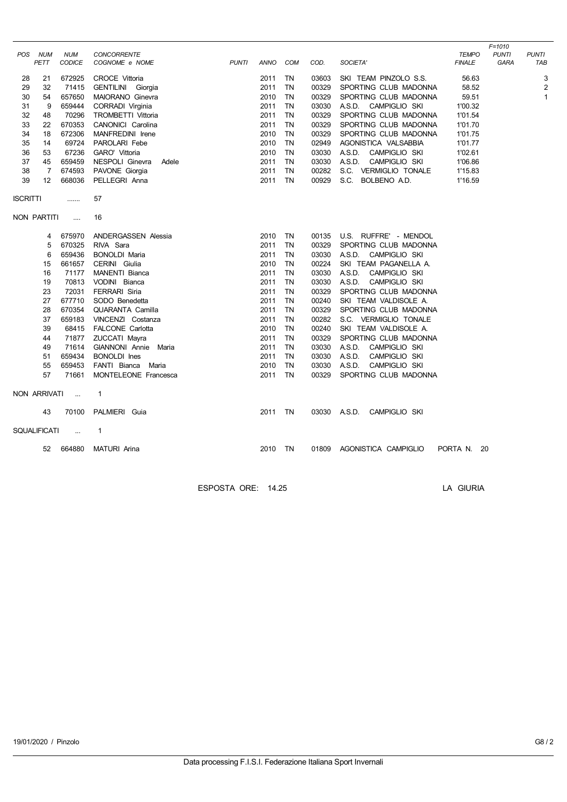| <b>POS</b>      | <b>NUM</b><br>PETT  | <b>NUM</b><br><b>CODICE</b> | CONCORRENTE<br>COGNOME e NOME | <b>PUNTI</b> | ANNO    | COM       | COD.  | SOCIETA'                | <b>TEMPO</b><br><b>FINALE</b> | $F = 1010$<br><b>PUNTI</b><br>GARA | <b>PUNTI</b><br>TAB |
|-----------------|---------------------|-----------------------------|-------------------------------|--------------|---------|-----------|-------|-------------------------|-------------------------------|------------------------------------|---------------------|
| 28              | 21                  | 672925                      | <b>CROCE Vittoria</b>         |              | 2011    | TN        | 03603 | SKI TEAM PINZOLO S.S.   | 56.63                         |                                    | 3                   |
| 29              | 32                  | 71415                       | GENTILINI Giorgia             |              | 2011    | <b>TN</b> | 00329 | SPORTING CLUB MADONNA   | 58.52                         |                                    | $\overline{2}$      |
| 30              | 54                  | 657650                      | MAIORANO Ginevra              |              | 2010    | <b>TN</b> | 00329 | SPORTING CLUB MADONNA   | 59.51                         |                                    | $\mathbf{1}$        |
| 31              | 9                   | 659444                      | CORRADI Virginia              |              | 2011    | <b>TN</b> | 03030 | A.S.D. CAMPIGLIO SKI    | 1'00.32                       |                                    |                     |
| 32              | 48                  | 70296                       | <b>TROMBETTI Vittoria</b>     |              | 2011    | <b>TN</b> | 00329 | SPORTING CLUB MADONNA   | 1'01.54                       |                                    |                     |
| 33              | 22                  | 670353                      | CANONICI Carolina             |              | 2011    | <b>TN</b> | 00329 | SPORTING CLUB MADONNA   | 1'01.70                       |                                    |                     |
| 34              | 18                  | 672306                      | MANFREDINI Irene              |              | 2010    | <b>TN</b> | 00329 | SPORTING CLUB MADONNA   | 1'01.75                       |                                    |                     |
| 35              | 14                  | 69724                       | PAROLARI Febe                 |              | 2010    | TN        | 02949 | AGONISTICA VALSABBIA    | 1'01.77                       |                                    |                     |
| 36              | 53                  | 67236                       | GARO' Vittoria                |              | 2010    | TN        | 03030 | A.S.D.<br>CAMPIGLIO SKI | 1'02.61                       |                                    |                     |
| 37              | 45                  | 659459                      | NESPOLI Ginevra<br>Adele      |              | 2011    | <b>TN</b> | 03030 | A.S.D.<br>CAMPIGLIO SKI | 1'06.86                       |                                    |                     |
| 38              | 7                   | 674593                      | PAVONE Giorgia                |              | 2011    | TN        | 00282 | S.C. VERMIGLIO TONALE   | 1'15.83                       |                                    |                     |
| 39              | 12                  | 668036                      | PELLEGRI Anna                 |              | 2011    | <b>TN</b> | 00929 | S.C. BOLBENO A.D.       | 1'16.59                       |                                    |                     |
|                 |                     |                             |                               |              |         |           |       |                         |                               |                                    |                     |
| <b>ISCRITTI</b> |                     |                             | 57                            |              |         |           |       |                         |                               |                                    |                     |
|                 | NON PARTITI         | $\cdots$                    | 16                            |              |         |           |       |                         |                               |                                    |                     |
|                 | 4                   | 675970                      | ANDERGASSEN Alessia           |              | 2010    | TN        | 00135 | U.S. RUFFRE' - MENDOL   |                               |                                    |                     |
|                 | 5                   | 670325                      | RIVA Sara                     |              | 2011    | <b>TN</b> | 00329 | SPORTING CLUB MADONNA   |                               |                                    |                     |
|                 | 6                   | 659436                      | <b>BONOLDI Maria</b>          |              | 2011    | <b>TN</b> | 03030 | A.S.D.<br>CAMPIGLIO SKI |                               |                                    |                     |
|                 | 15                  | 661657                      | CERINI Giulia                 |              | 2010    | <b>TN</b> | 00224 | SKI TEAM PAGANELLA A.   |                               |                                    |                     |
|                 | 16                  | 71177                       | MANENTI Bianca                |              | 2011    | <b>TN</b> | 03030 | A.S.D.<br>CAMPIGLIO SKI |                               |                                    |                     |
|                 | 19                  | 70813                       | VODINI Bianca                 |              | 2011    | <b>TN</b> | 03030 | A.S.D.<br>CAMPIGLIO SKI |                               |                                    |                     |
|                 | 23                  | 72031                       | FERRARI Siria                 |              | 2011    | <b>TN</b> | 00329 | SPORTING CLUB MADONNA   |                               |                                    |                     |
|                 | 27                  | 677710                      | SODO Benedetta                |              | 2011    | TN        | 00240 | SKI TEAM VALDISOLE A.   |                               |                                    |                     |
|                 | 28                  | 670354                      | QUARANTA Camilla              |              | 2011    | <b>TN</b> | 00329 | SPORTING CLUB MADONNA   |                               |                                    |                     |
|                 | 37                  | 659183                      | VINCENZI Costanza             |              | 2011    | <b>TN</b> | 00282 | S.C. VERMIGLIO TONALE   |                               |                                    |                     |
|                 | 39                  | 68415                       | <b>FALCONE Carlotta</b>       |              | 2010    | TN        | 00240 | SKI TEAM VALDISOLE A.   |                               |                                    |                     |
|                 | 44                  | 71877                       | ZUCCATI Mayra                 |              | 2011    | <b>TN</b> | 00329 | SPORTING CLUB MADONNA   |                               |                                    |                     |
|                 | 49                  | 71614                       | GIANNONI Annie Maria          |              | 2011    | <b>TN</b> | 03030 | A.S.D.<br>CAMPIGLIO SKI |                               |                                    |                     |
|                 | 51                  | 659434                      | <b>BONOLDI</b> Ines           |              | 2011    | <b>TN</b> | 03030 | A.S.D.<br>CAMPIGLIO SKI |                               |                                    |                     |
|                 | 55                  | 659453                      | FANTI Bianca<br>Maria         |              | 2010    | <b>TN</b> | 03030 | CAMPIGLIO SKI<br>A.S.D. |                               |                                    |                     |
|                 | 57                  | 71661                       | MONTELEONE Francesca          |              | 2011    | <b>TN</b> | 00329 | SPORTING CLUB MADONNA   |                               |                                    |                     |
|                 | NON ARRIVATI        | $\sim$                      | $\mathbf{1}$                  |              |         |           |       |                         |                               |                                    |                     |
|                 | 43                  | 70100                       | PALMIERI Guia                 |              | 2011 TN |           | 03030 | A.S.D. CAMPIGLIO SKI    |                               |                                    |                     |
|                 | <b>SQUALIFICATI</b> | $\ldots$                    | 1                             |              |         |           |       |                         |                               |                                    |                     |
|                 | 52                  | 664880                      | <b>MATURI</b> Arina           |              | 2010    | <b>TN</b> | 01809 | AGONISTICA CAMPIGLIO    | PORTA N. 20                   |                                    |                     |
|                 |                     |                             |                               |              |         |           |       |                         |                               |                                    |                     |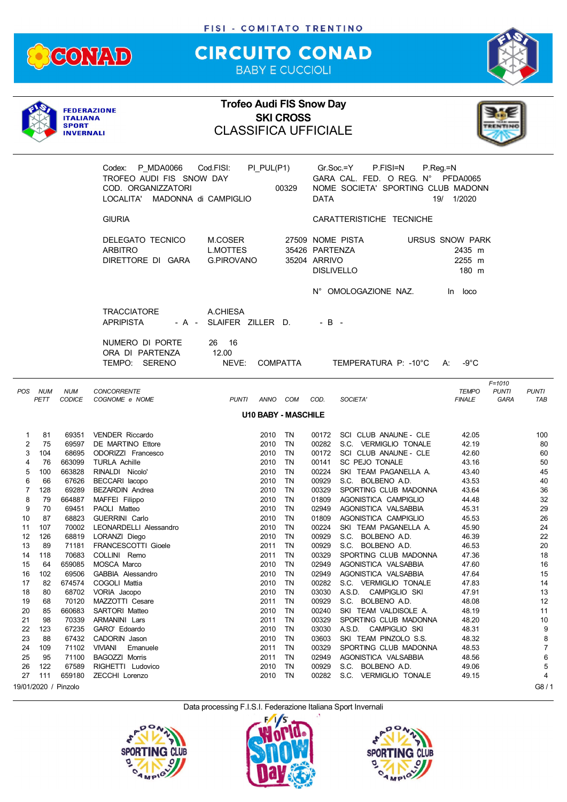

## **CIRCUITO CONAD** BABY E CUCCIOLI



|             |                 | <b>ITALIANA</b><br><b>SPORT</b><br><b>INVERNALI</b> | <b>FEDERAZIONE</b>                                                                                      | <b>Trofeo Audi FIS Snow Day</b><br><b>CLASSIFICA UFFICIALE</b> |                      | <b>SKI CROSS</b>           |                                |                                                                                                  |                                              |                                    |                       |
|-------------|-----------------|-----------------------------------------------------|---------------------------------------------------------------------------------------------------------|----------------------------------------------------------------|----------------------|----------------------------|--------------------------------|--------------------------------------------------------------------------------------------------|----------------------------------------------|------------------------------------|-----------------------|
|             |                 |                                                     | P MDA0066<br>Codex:<br>TROFEO AUDI FIS SNOW DAY<br>COD. ORGANIZZATORI<br>LOCALITA' MADONNA di CAMPIGLIO | Cod.FISI:                                                      | PI_PUL(P1)           | 00329                      | DATA                           | Gr.Soc.=Y<br>P.FISI=N<br>GARA CAL. FED. O REG. N° PFDA0065<br>NOME SOCIETA' SPORTING CLUB MADONN | $P_{\cdot}$ Reg $_{\cdot}$ =N<br>19/ 1/2020  |                                    |                       |
|             |                 |                                                     | <b>GIURIA</b>                                                                                           |                                                                |                      |                            |                                | CARATTERISTICHE TECNICHE                                                                         |                                              |                                    |                       |
|             |                 |                                                     | DELEGATO TECNICO<br><b>ARBITRO</b><br>DIRETTORE DI GARA                                                 | M.COSER<br><b>L.MOTTES</b><br><b>G.PIROVANO</b>                |                      |                            | 35426 PARTENZA<br>35204 ARRIVO | 27509 NOME PISTA<br><b>DISLIVELLO</b>                                                            | URSUS SNOW PARK<br>2435 m<br>2255 m<br>180 m |                                    |                       |
|             |                 |                                                     |                                                                                                         |                                                                |                      |                            |                                | N° OMOLOGAZIONE NAZ.                                                                             | In loco                                      |                                    |                       |
|             |                 |                                                     | <b>TRACCIATORE</b><br><b>APRIPISTA</b>                                                                  | A.CHIESA<br>- A - SLAIFER ZILLER D.                            |                      |                            | $-B -$                         |                                                                                                  |                                              |                                    |                       |
|             |                 |                                                     | NUMERO DI PORTE<br>ORA DI PARTENZA<br>TEMPO: SERENO                                                     | 26 16<br>12.00<br>NEVE:                                        |                      | <b>COMPATTA</b>            |                                | TEMPERATURA P: -10°C A:                                                                          | $-9^{\circ}$ C                               |                                    |                       |
|             | POS NUM<br>PETT | <b>NUM</b><br><b>CODICE</b>                         | <b>CONCORRENTE</b><br>COGNOME e NOME                                                                    | <b>PUNTI</b>                                                   |                      | ANNO COM COD.              |                                | SOCIETA'                                                                                         | TEMPO<br><b>FINALE</b>                       | $F = 1010$<br><b>PUNTI</b><br>GARA | <b>PUNTI</b><br>TAB   |
|             |                 |                                                     |                                                                                                         |                                                                |                      | <b>U10 BABY - MASCHILE</b> |                                |                                                                                                  |                                              |                                    |                       |
| 1<br>2<br>3 | 81<br>75<br>104 | 69351<br>69597<br>68695                             | <b>VENDER Riccardo</b><br>DE MARTINO Ettore<br>ODORIZZI Francesco                                       |                                                                | 2010<br>2010<br>2010 | TN.<br>TN<br><b>TN</b>     | 00172                          | 00172 SCI CLUB ANAUNE - CLE<br>00282 S.C. VERMIGLIO TONALE<br>SCI CLUB ANAUNE - CLE              | 42.05<br>42.19<br>42.60                      |                                    | 100<br>80<br>60       |
| 4<br>5      | 76<br>100       | 663099<br>663828                                    | <b>TURLA Achille</b><br>RINALDI Nicolo'                                                                 |                                                                | 2010<br>2010         | <b>TN</b><br>TN            | 00141<br>00224                 | SC PEJO TONALE<br>SKI TEAM PAGANELLA A.                                                          | 43.16<br>43.40                               |                                    | 50<br>45              |
| 6           | 66              | 67626                                               | BECCARI lacopo                                                                                          |                                                                | 2010                 | TN                         | 00929                          | S.C. BOLBENO A.D.                                                                                | 43.53                                        |                                    | 40                    |
| 7<br>8      | 128<br>79       | 69289<br>664887                                     | <b>BEZARDIN Andrea</b><br>MAFFEI Filippo                                                                |                                                                | 2010<br>2010         | TN<br>TN                   | 00329<br>01809                 | SPORTING CLUB MADONNA<br>AGONISTICA CAMPIGLIO                                                    | 43.64<br>44.48                               |                                    | 36<br>32              |
| 9           | 70              | 69451                                               | PAOLI Matteo                                                                                            |                                                                | 2010                 | TN                         | 02949                          | AGONISTICA VALSABBIA                                                                             | 45.31                                        |                                    | 29                    |
| 10          | 87              | 68823                                               | GUERRINI Carlo                                                                                          |                                                                | 2010                 | TN                         | 01809                          | AGONISTICA CAMPIGLIO                                                                             | 45.53                                        |                                    | 26                    |
| 11          | 107             |                                                     | 70002 LEONARDELLI Alessandro                                                                            |                                                                | 2010 TN              |                            |                                | 00224 SKI TEAM PAGANELLA A.                                                                      | 45.90                                        |                                    | 24                    |
| 12<br>13    | 126<br>89       | 68819<br>71181                                      | LORANZI Diego<br>FRANCESCOTTI Gioele                                                                    |                                                                | 2010<br>2011         | TN<br>TN                   | 00929<br>00929                 | S.C. BOLBENO A.D.<br>S.C. BOLBENO A.D.                                                           | 46.39<br>46.53                               |                                    | 22<br>20              |
| 14          | 118             | 70683                                               | COLLINI Remo                                                                                            |                                                                | 2011                 | ΤN                         | 00329                          | SPORTING CLUB MADONNA                                                                            | 47.36                                        |                                    | 18                    |
| 15          | 64              | 659085                                              | MOSCA Marco                                                                                             |                                                                | 2010                 | TN                         | 02949                          | AGONISTICA VALSABBIA                                                                             | 47.60                                        |                                    | 16                    |
| 16          | 102             | 69506                                               | GABBIA Alessandro                                                                                       |                                                                | 2010                 | TN                         | 02949                          | AGONISTICA VALSABBIA                                                                             | 47.64                                        |                                    | 15                    |
| 17          | 82              | 674574                                              | COGOLI Mattia                                                                                           |                                                                | 2010                 | TN                         | 00282                          | S.C. VERMIGLIO TONALE                                                                            | 47.83                                        |                                    | 14                    |
| 18<br>19    | 80<br>68        | 68702<br>70120                                      | VORIA Jacopo<br>MAZZOTTI Cesare                                                                         |                                                                | 2010<br>2011         | TN<br>TN                   | 03030<br>00929                 | A.S.D. CAMPIGLIO SKI<br>S.C. BOLBENO A.D.                                                        | 47.91<br>48.08                               |                                    | 13<br>12              |
| 20          | 85              | 660683                                              | SARTORI Matteo                                                                                          |                                                                | 2010                 | TN                         | 00240                          | SKI TEAM VALDISOLE A.                                                                            | 48.19                                        |                                    | 11                    |
| 21          | 98              | 70339                                               | ARMANINI Lars                                                                                           |                                                                | 2011                 | TN                         | 00329                          | SPORTING CLUB MADONNA                                                                            | 48.20                                        |                                    | 10                    |
| 22          | 123             | 67235                                               | GARO' Edoardo                                                                                           |                                                                | 2010                 | TN                         | 03030                          | A.S.D. CAMPIGLIO SKI                                                                             | 48.31                                        |                                    | 9                     |
| 23          | 88              | 67432                                               | CADORIN Jason                                                                                           |                                                                | 2010                 | TN                         | 03603                          | SKI TEAM PINZOLO S.S.                                                                            | 48.32                                        |                                    | 8<br>$\boldsymbol{7}$ |
| 24<br>25    | 109<br>95       | 71102<br>71100                                      | VIVIANI<br>Emanuele<br><b>BAGOZZI Morris</b>                                                            |                                                                | 2011<br>2011         | TN<br>TN                   | 00329<br>02949                 | SPORTING CLUB MADONNA<br>AGONISTICA VALSABBIA                                                    | 48.53<br>48.56                               |                                    | 6                     |
| 26          | 122             | 67589                                               | RIGHETTI Ludovico                                                                                       |                                                                | 2010                 | TN                         | 00929                          | S.C. BOLBENO A.D.                                                                                | 49.06                                        |                                    | 5                     |
| 27          | 111             | 659180                                              | ZECCHI Lorenzo                                                                                          |                                                                | 2010                 | TN                         | 00282                          | S.C. VERMIGLIO TONALE                                                                            | 49.15                                        |                                    | 4                     |
|             |                 | 19/01/2020 / Pinzolo                                |                                                                                                         |                                                                |                      |                            |                                |                                                                                                  |                                              |                                    | G8/1                  |





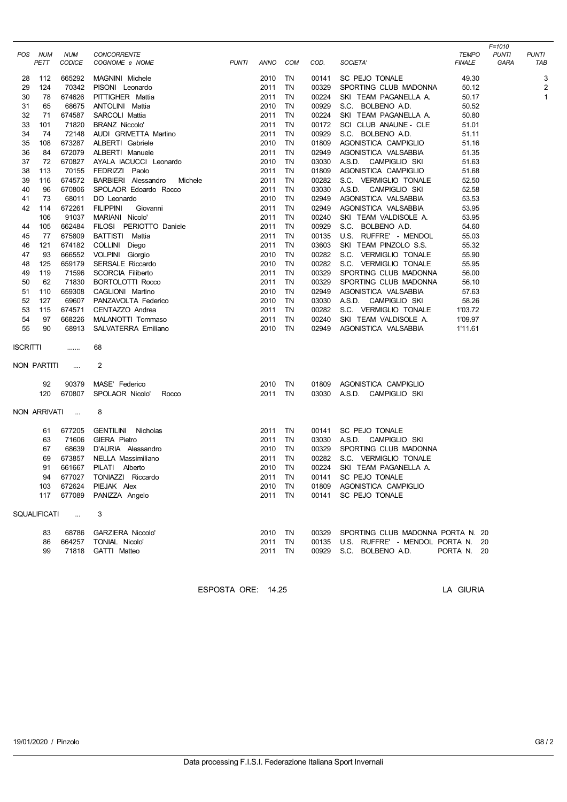| POS             | NUM<br>PETT  | <b>NUM</b><br>CODICE | <b>CONCORRENTE</b><br>COGNOME e NOME | <b>PUNTI</b> | ANNO         | COM       | COD.           | SOCIETA'                                   | <b>TEMPO</b><br><b>FINALE</b> | $F = 1010$<br><b>PUNTI</b><br>GARA | <b>PUNTI</b><br>TAB |
|-----------------|--------------|----------------------|--------------------------------------|--------------|--------------|-----------|----------------|--------------------------------------------|-------------------------------|------------------------------------|---------------------|
|                 |              |                      |                                      |              |              |           |                |                                            |                               |                                    |                     |
| 28              | 112          | 665292               | MAGNINI Michele                      |              | 2010         | TN        | 00141          | SC PEJO TONALE                             | 49.30                         |                                    | 3                   |
| 29              | 124          | 70342                | PISONI Leonardo                      |              | 2011         | <b>TN</b> | 00329          | SPORTING CLUB MADONNA                      | 50.12                         |                                    | $\overline{2}$      |
| 30              | 78           | 674626               | PITTIGHER Mattia                     |              | 2011         | <b>TN</b> | 00224          | SKI TEAM PAGANELLA A.                      | 50.17                         |                                    | $\mathbf{1}$        |
| 31<br>32        | 65<br>71     | 68675<br>674587      | ANTOLINI Mattia<br>SARCOLI Mattia    |              | 2010<br>2011 | TN<br>TN  | 00929<br>00224 | S.C. BOLBENO A.D.<br>SKI TEAM PAGANELLA A. | 50.52<br>50.80                |                                    |                     |
|                 | 101          | 71820                | <b>BRANZ Niccolo'</b>                |              | 2011         | TN        | 00172          | SCI CLUB ANAUNE - CLE                      | 51.01                         |                                    |                     |
| 33<br>34        | 74           | 72148                | AUDI GRIVETTA Martino                |              | 2011         | TN        | 00929          | S.C. BOLBENO A.D.                          | 51.11                         |                                    |                     |
| 35              | 108          | 673287               | ALBERTI Gabriele                     |              | 2010         | TN        | 01809          | AGONISTICA CAMPIGLIO                       | 51.16                         |                                    |                     |
| 36              | 84           | 672079               | ALBERTI Manuele                      |              | 2011         | TN        | 02949          | AGONISTICA VALSABBIA                       | 51.35                         |                                    |                     |
| 37              | 72           | 670827               | AYALA IACUCCI Leonardo               |              | 2010         | TN        | 03030          | A.S.D.<br>CAMPIGLIO SKI                    | 51.63                         |                                    |                     |
| 38              | 113          | 70155                | FEDRIZZI Paolo                       |              | 2011         | TN        | 01809          | AGONISTICA CAMPIGLIO                       | 51.68                         |                                    |                     |
| 39              | 116          | 674572               | BARBIERI Alessandro<br>Michele       |              | 2011         | TN        | 00282          | S.C. VERMIGLIO TONALE                      | 52.50                         |                                    |                     |
| 40              | 96           | 670806               | SPOLAOR Edoardo Rocco                |              | 2011         | TN        | 03030          | A.S.D. CAMPIGLIO SKI                       | 52.58                         |                                    |                     |
| 41              | 73           | 68011                | DO Leonardo                          |              | 2010         | TN        | 02949          | AGONISTICA VALSABBIA                       | 53.53                         |                                    |                     |
| 42              | 114          | 672261               | <b>FILIPPINI</b><br>Giovanni         |              | 2011         | TN        | 02949          | AGONISTICA VALSABBIA                       | 53.95                         |                                    |                     |
|                 | 106          | 91037                | MARIANI Nicolo'                      |              | 2011         | TN        | 00240          | SKI TEAM VALDISOLE A.                      | 53.95                         |                                    |                     |
| 44              | 105          | 662484               | FILOSI PERIOTTO Daniele              |              | 2011         | TN        | 00929          | S.C. BOLBENO A.D.                          | 54.60                         |                                    |                     |
| 45              | 77           | 675809               | BATTISTI Mattia                      |              | 2011         | TN        | 00135          | U.S. RUFFRE' - MENDOL                      | 55.03                         |                                    |                     |
| 46              | 121          | 674182               | COLLINI Diego                        |              | 2011         | TN        | 03603          | SKI TEAM PINZOLO S.S.                      | 55.32                         |                                    |                     |
| 47              | 93           | 666552               | VOLPINI Giorgio                      |              | 2010         | TN        | 00282          | S.C. VERMIGLIO TONALE                      | 55.90                         |                                    |                     |
| 48              | 125          | 659179               | SERSALE Riccardo                     |              | 2010         | TN        | 00282          | S.C. VERMIGLIO TONALE                      | 55.95                         |                                    |                     |
| 49              | 119          | 71596                | <b>SCORCIA Filiberto</b>             |              | 2011         | TN        | 00329          | SPORTING CLUB MADONNA                      | 56.00                         |                                    |                     |
| 50              | 62           | 71830                | <b>BORTOLOTTI Rocco</b>              |              | 2011         | <b>TN</b> | 00329          | SPORTING CLUB MADONNA                      | 56.10                         |                                    |                     |
| 51              | 110          | 659308               | CAGLIONI Martino                     |              | 2010         | TN        | 02949          | AGONISTICA VALSABBIA                       | 57.63                         |                                    |                     |
| 52              | 127          | 69607                | PANZAVOLTA Federico                  |              | 2010         | TN        | 03030          | A.S.D. CAMPIGLIO SKI                       | 58.26                         |                                    |                     |
| 53              | 115          | 674571               | CENTAZZO Andrea                      |              | 2011         | TN        | 00282          | S.C. VERMIGLIO TONALE                      | 1'03.72                       |                                    |                     |
| 54              | 97           | 668226               | MALANOTTI Tommaso                    |              | 2011         | TN        | 00240          | SKI TEAM VALDISOLE A.                      | 1'09.97                       |                                    |                     |
| 55              | 90           | 68913                | SALVATERRA Emiliano                  |              | 2010         | TN        | 02949          | AGONISTICA VALSABBIA                       | 1'11.61                       |                                    |                     |
| <b>ISCRITTI</b> |              |                      | 68                                   |              |              |           |                |                                            |                               |                                    |                     |
|                 | NON PARTITI  | $\ldots$             | 2                                    |              |              |           |                |                                            |                               |                                    |                     |
|                 | 92           | 90379                | MASE' Federico                       |              | 2010         | TN        |                | AGONISTICA CAMPIGLIO                       |                               |                                    |                     |
|                 | 120          | 670807               | SPOLAOR Nicolo'<br>Rocco             |              | 2011         | TN        | 01809<br>03030 | A.S.D. CAMPIGLIO SKI                       |                               |                                    |                     |
|                 |              |                      |                                      |              |              |           |                |                                            |                               |                                    |                     |
|                 | NON ARRIVATI | $\ldots$             | 8                                    |              |              |           |                |                                            |                               |                                    |                     |
|                 | 61           | 677205               | <b>GENTILINI</b><br>Nicholas         |              | 2011         | TN        | 00141          | SC PEJO TONALE                             |                               |                                    |                     |
|                 | 63           | 71606                | <b>GIERA Pietro</b>                  |              | 2011         | TN        | 03030          | A.S.D.<br>CAMPIGLIO SKI                    |                               |                                    |                     |
|                 | 67           | 68639                | D'AURIA Alessandro                   |              | 2010         | TN        | 00329          | SPORTING CLUB MADONNA                      |                               |                                    |                     |
|                 | 69           | 673857               | NELLA Massimiliano                   |              | 2011         | TN        | 00282          | S.C. VERMIGLIO TONALE                      |                               |                                    |                     |
|                 | 91           | 661667               | PILATI Alberto                       |              | 2010 TN      |           |                | 00224 SKI TEAM PAGANELLA A.                |                               |                                    |                     |
|                 |              |                      | 94 677027 TONIAZZI Riccardo          |              | 2011 TN      |           |                | 00141 SC PEJO TONALE                       |                               |                                    |                     |
|                 |              |                      | 103 672624 PIEJAK Alex               |              | 2010 TN      |           |                | 01809 AGONISTICA CAMPIGLIO                 |                               |                                    |                     |
|                 |              |                      | 117 677089 PANIZZA Angelo            |              | 2011 TN      |           |                | 00141 SC PEJO TONALE                       |                               |                                    |                     |
|                 |              | SQUALIFICATI         | 3                                    |              |              |           |                |                                            |                               |                                    |                     |
|                 |              |                      |                                      |              |              |           |                |                                            |                               |                                    |                     |
|                 | 83           | 68786                | <b>GARZIERA Niccolo'</b>             |              | 2010 TN      |           |                | 00329 SPORTING CLUB MADONNA PORTA N. 20    |                               |                                    |                     |
|                 | 86           | 664257               | TONIAL Nicolo'                       |              | 2011 TN      |           |                | 00135 U.S. RUFFRE' - MENDOL PORTA N. 20    |                               |                                    |                     |
|                 | 99           |                      | 71818 GATTI Matteo                   |              | 2011 TN      |           |                | 00929 S.C. BOLBENO A.D.                    | PORTA N. 20                   |                                    |                     |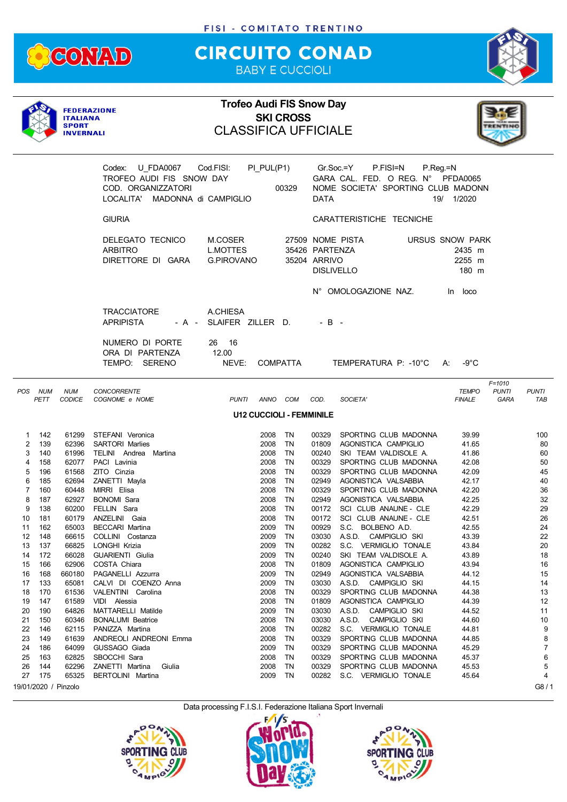

## **CIRCUITO CONAD** BABY E CUCCIOLI



|                            |                          | <b>ITALIANA</b><br><b>SPORT</b><br><b>INVERNALI</b> | <b>FEDERAZIONE</b>                                                                                                | <b>Trofeo Audi FIS Snow Day</b><br><b>CLASSIFICA UFFICIALE</b> |                              | <b>SKI CROSS</b>                |                                                     |                                                                                                              |                                                     |                                    |                       |
|----------------------------|--------------------------|-----------------------------------------------------|-------------------------------------------------------------------------------------------------------------------|----------------------------------------------------------------|------------------------------|---------------------------------|-----------------------------------------------------|--------------------------------------------------------------------------------------------------------------|-----------------------------------------------------|------------------------------------|-----------------------|
|                            |                          |                                                     | Codex:<br>U FDA0067 Cod.FISI:<br>TROFEO AUDI FIS SNOW DAY<br>COD. ORGANIZZATORI<br>LOCALITA' MADONNA di CAMPIGLIO |                                                                | PI_PUL(P1)                   | 00329                           | DATA                                                | Gr.Soc.=Y<br>P.FISI=N<br>P.Reg.=N<br>GARA CAL. FED. O REG. N° PFDA0065<br>NOME SOCIETA' SPORTING CLUB MADONN | 19/ 1/2020                                          |                                    |                       |
|                            |                          |                                                     | <b>GIURIA</b>                                                                                                     |                                                                |                              |                                 |                                                     | CARATTERISTICHE TECNICHE                                                                                     |                                                     |                                    |                       |
|                            |                          |                                                     | DELEGATO TECNICO<br><b>ARBITRO</b><br>DIRETTORE DI GARA                                                           | M.COSER<br><b>L.MOTTES</b><br><b>G.PIROVANO</b>                |                              |                                 | 35426 PARTENZA<br>35204 ARRIVO<br><b>DISLIVELLO</b> | 27509 NOME PISTA                                                                                             | <b>URSUS SNOW PARK</b><br>2435 m<br>2255 m<br>180 m |                                    |                       |
|                            |                          |                                                     |                                                                                                                   |                                                                |                              |                                 |                                                     | N° OMOLOGAZIONE NAZ.                                                                                         | In loco                                             |                                    |                       |
|                            |                          |                                                     | <b>TRACCIATORE</b><br><b>APRIPISTA</b>                                                                            | A CHIESA<br>- A - SLAIFER ZILLER D.                            |                              |                                 | $-$ B $-$                                           |                                                                                                              |                                                     |                                    |                       |
|                            |                          |                                                     | NUMERO DI PORTE<br>ORA DI PARTENZA<br>TEMPO: SERENO                                                               | 26 16<br>12.00<br>NEVE:                                        |                              | COMPATTA                        |                                                     | TEMPERATURA P: -10°C                                                                                         | $-9^{\circ}C$<br>A:                                 |                                    |                       |
| POS                        | <b>NUM</b><br>PETT       | <b>NUM</b><br><b>CODICE</b>                         | <b>CONCORRENTE</b><br>COGNOME e NOME                                                                              | PUNTI                                                          |                              | ANNO COM COD.                   |                                                     | SOCIETA'                                                                                                     | <b>TEMPO</b><br><b>FINALE</b>                       | $F = 1010$<br><b>PUNTI</b><br>GARA | <b>PUNTI</b><br>TAB   |
|                            |                          |                                                     |                                                                                                                   |                                                                |                              | <b>U12 CUCCIOLI - FEMMINILE</b> |                                                     |                                                                                                              |                                                     |                                    |                       |
| 1<br>2<br>3<br>4           | 142<br>139<br>140<br>158 | 61299<br>62396<br>61996<br>62077                    | STEFANI Veronica<br><b>SARTORI Marlies</b><br>TELINI Andrea Martina<br>PACI Lavinia                               |                                                                | 2008<br>2008<br>2008<br>2008 | TN<br>TN<br>TN<br>TN            | 00329<br>01809<br>00240<br>00329                    | SPORTING CLUB MADONNA<br>AGONISTICA CAMPIGLIO<br>SKI TEAM VALDISOLE A.<br>SPORTING CLUB MADONNA              | 39.99<br>41.65<br>41.86<br>42.08                    |                                    | 100<br>80<br>60<br>50 |
| 5<br>6                     | 196<br>185               | 61568<br>62694                                      | ZITO Cinzia<br>ZANETTI Mayla                                                                                      |                                                                | 2008<br>2008                 | TN<br>TN                        | 00329<br>02949                                      | SPORTING CLUB MADONNA<br>AGONISTICA VALSABBIA                                                                | 42.09<br>42.17                                      |                                    | 45<br>40              |
| 7<br>8                     | 160<br>187               | 60448<br>62927                                      | MIRRI Elisa<br><b>BONOMI Sara</b>                                                                                 |                                                                | 2008<br>2008                 | TN<br><b>TN</b>                 | 00329<br>02949                                      | SPORTING CLUB MADONNA<br>AGONISTICA VALSABBIA                                                                | 42.20<br>42.25                                      |                                    | 36<br>32              |
| 9<br>10<br>11              | 138<br>181<br>162        | 60200<br>60179<br>65003                             | FELLIN Sara<br>ANZELINI Gaia<br><b>BECCARI Martina</b>                                                            |                                                                | 2008<br>2008<br>2009         | TN<br><b>TN</b><br>TN           | 00172<br>00172<br>00929                             | SCI CLUB ANAUNE - CLE<br>SCI CLUB ANAUNE - CLE<br>S.C. BOLBENO A.D.                                          | 42.29<br>42.51<br>42.55                             |                                    | 29<br>26<br>24        |
| 12<br>13<br>14             | 148<br>137<br>172        | 66615<br>66825<br>66028                             | COLLINI Costanza<br>LONGHI Krizia<br>GUARIENTI Giulia                                                             |                                                                | 2009<br>2009<br>2009         | ΤN<br>TN<br>TN                  | 03030<br>00282<br>00240                             | CAMPIGLIO SKI<br>A.S.D.<br>S.C. VERMIGLIO TONALE<br>SKI TEAM VALDISOLE A.                                    | 43.39<br>43.84<br>43.89                             |                                    | 22<br>20<br>18        |
| 15<br>16<br>17             | 166<br>168<br>133        | 62906<br>660180<br>65081                            | COSTA Chiara<br>PAGANELLI Azzurra<br>CALVI DI COENZO Anna                                                         |                                                                | 2008<br>2009<br>2009         | TN<br>TN<br>ΤN                  | 01809<br>02949<br>03030                             | AGONISTICA CAMPIGLIO<br>AGONISTICA VALSABBIA<br>A.S.D. CAMPIGLIO SKI                                         | 43.94<br>44.12<br>44.15                             |                                    | 16<br>15<br>14        |
| 18<br>19<br>20             | 170<br>147<br>190        | 61536<br>61589<br>64826                             | VALENTINI Carolina<br>VIDI Alessia<br>MATTARELLI Matilde                                                          |                                                                | 2008<br>2008<br>2009         | TN<br>TN<br>ΤN                  | 00329<br>01809<br>03030                             | SPORTING CLUB MADONNA<br>AGONISTICA CAMPIGLIO<br>CAMPIGLIO SKI<br>A.S.D.                                     | 44.38<br>44.39<br>44.52                             |                                    | 13<br>12<br>11        |
| 21<br>22<br>23             | 150<br>146<br>149        | 60346<br>62115<br>61639                             | <b>BONALUMI Beatrice</b><br>PANIZZA Martina<br>ANDREOLI ANDREONI Emma                                             |                                                                | 2008<br>2008<br>2008         | TN<br>TN<br>ΤN                  | 03030<br>00282<br>00329                             | A.S.D.<br>CAMPIGLIO SKI<br>S.C. VERMIGLIO TONALE<br>SPORTING CLUB MADONNA                                    | 44.60<br>44.81<br>44.85                             |                                    | 10<br>9<br>8          |
| 24<br>25<br>26             | 186<br>163<br>144        | 64099<br>62825<br>62296                             | GUSSAGO Giada<br>SBOCCHI Sara<br>ZANETTI Martina<br>Giulia                                                        |                                                                | 2009<br>2008<br>2008         | TN<br>ΤN<br>TN                  | 00329<br>00329<br>00329                             | SPORTING CLUB MADONNA<br>SPORTING CLUB MADONNA<br>SPORTING CLUB MADONNA                                      | 45.29<br>45.37<br>45.53                             |                                    | 7<br>6<br>5           |
| 27<br>19/01/2020 / Pinzolo | 175                      | 65325                                               | BERTOLINI Martina                                                                                                 |                                                                | 2009                         | TN                              | 00282                                               | S.C. VERMIGLIO TONALE                                                                                        | 45.64                                               |                                    | 4<br>G8/1             |





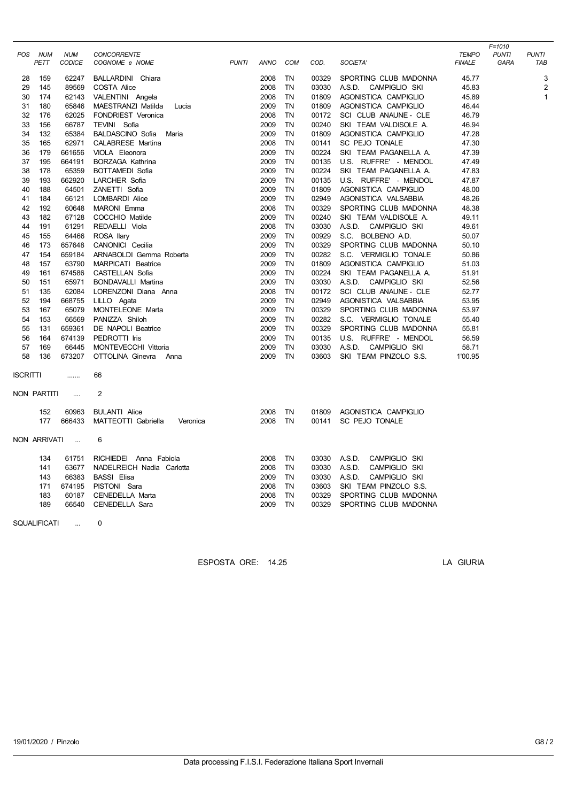|                 | POS NUM<br>PETT     | <b>NUM</b><br>CODICE | <b>CONCORRENTE</b>               | <b>PUNTI</b> | ANNO | <b>COM</b> | COD.  | SOCIETA'                | <b>TEMPO</b><br><b>FINALE</b> | $F = 1010$<br><b>PUNTI</b> | <b>PUNTI</b><br><b>TAB</b> |
|-----------------|---------------------|----------------------|----------------------------------|--------------|------|------------|-------|-------------------------|-------------------------------|----------------------------|----------------------------|
|                 |                     |                      | COGNOME e NOME                   |              |      |            |       |                         |                               | GARA                       |                            |
| 28              | 159                 | 62247                | BALLARDINI Chiara                |              | 2008 | TN         | 00329 | SPORTING CLUB MADONNA   | 45.77                         |                            | 3                          |
| 29              | 145                 | 89569                | COSTA Alice                      |              | 2008 | <b>TN</b>  | 03030 | A.S.D. CAMPIGLIO SKI    | 45.83                         |                            | $\overline{c}$             |
| 30              | 174                 | 62143                | VALENTINI Angela                 |              | 2008 | <b>TN</b>  | 01809 | AGONISTICA CAMPIGLIO    | 45.89                         |                            | $\mathbf{1}$               |
| 31              | 180                 | 65846                | MAESTRANZI Matilda<br>Lucia      |              | 2009 | TN         | 01809 | AGONISTICA CAMPIGLIO    | 46.44                         |                            |                            |
| 32              | 176                 | 62025                | FONDRIEST Veronica               |              | 2008 | <b>TN</b>  | 00172 | SCI CLUB ANAUNE - CLE   | 46.79                         |                            |                            |
| 33              | 156                 | 66787                | TEVINI Sofia                     |              | 2009 | TN         | 00240 | SKI TEAM VALDISOLE A.   | 46.94                         |                            |                            |
| 34              | 132                 | 65384                | <b>BALDASCINO Sofia</b><br>Maria |              | 2009 | TN         | 01809 | AGONISTICA CAMPIGLIO    | 47.28                         |                            |                            |
| 35              | 165                 | 62971                | <b>CALABRESE Martina</b>         |              | 2008 | <b>TN</b>  | 00141 | SC PEJO TONALE          | 47.30                         |                            |                            |
| 36              | 179                 | 661656               | VIOLA Eleonora                   |              | 2009 | TN         | 00224 | SKI TEAM PAGANELLA A.   | 47.39                         |                            |                            |
| 37              | 195                 | 664191               | <b>BORZAGA Kathrina</b>          |              | 2009 | <b>TN</b>  | 00135 | U.S. RUFFRE' - MENDOL   | 47.49                         |                            |                            |
| 38              | 178                 | 65359                | <b>BOTTAMEDI Sofia</b>           |              | 2009 | <b>TN</b>  | 00224 | SKI TEAM PAGANELLA A.   | 47.83                         |                            |                            |
| 39              | 193                 | 662920               | LARCHER Sofia                    |              | 2009 | TN         | 00135 | U.S. RUFFRE' - MENDOL   | 47.87                         |                            |                            |
| 40              | 188                 | 64501                | ZANETTI Sofia                    |              | 2009 | TN         | 01809 | AGONISTICA CAMPIGLIO    | 48.00                         |                            |                            |
| 41              | 184                 | 66121                | <b>LOMBARDI Alice</b>            |              | 2009 | <b>TN</b>  | 02949 | AGONISTICA VALSABBIA    | 48.26                         |                            |                            |
| 42              | 192                 | 60648                | <b>MARONI</b> Emma               |              | 2008 | <b>TN</b>  | 00329 | SPORTING CLUB MADONNA   | 48.38                         |                            |                            |
| 43              | 182                 | 67128                | COCCHIO Matilde                  |              | 2009 | TN         | 00240 | SKI TEAM VALDISOLE A.   | 49.11                         |                            |                            |
| 44              | 191                 | 61291                | REDAELLI Viola                   |              | 2008 | <b>TN</b>  | 03030 | A.S.D. CAMPIGLIO SKI    | 49.61                         |                            |                            |
| 45              | 155                 | 64466                | ROSA llary                       |              | 2009 | <b>TN</b>  | 00929 | S.C. BOLBENO A.D.       | 50.07                         |                            |                            |
| 46              | 173                 | 657648               | CANONICI Cecilia                 |              | 2009 | TN         | 00329 | SPORTING CLUB MADONNA   | 50.10                         |                            |                            |
| 47              | 154                 | 659184               | ARNABOLDI Gemma Roberta          |              | 2009 | TN         | 00282 | S.C. VERMIGLIO TONALE   | 50.86                         |                            |                            |
| 48              | 157                 | 63790                | MARPICATI Beatrice               |              | 2009 | <b>TN</b>  | 01809 | AGONISTICA CAMPIGLIO    | 51.03                         |                            |                            |
| 49              | 161                 | 674586               | CASTELLAN Sofia                  |              | 2009 | TN         | 00224 | SKI TEAM PAGANELLA A.   | 51.91                         |                            |                            |
| 50              | 151                 | 65971                | <b>BONDAVALLI Martina</b>        |              | 2009 | TN         | 03030 | A.S.D. CAMPIGLIO SKI    | 52.56                         |                            |                            |
| 51              | 135                 | 62084                | LORENZONI Diana Anna             |              | 2008 | <b>TN</b>  | 00172 | SCI CLUB ANAUNE - CLE   | 52.77                         |                            |                            |
| 52              | 194                 | 668755               | LILLO Agata                      |              | 2009 | TN         | 02949 | AGONISTICA VALSABBIA    | 53.95                         |                            |                            |
| 53              | 167                 | 65079                | MONTELEONE Marta                 |              | 2009 | <b>TN</b>  | 00329 | SPORTING CLUB MADONNA   | 53.97                         |                            |                            |
| 54              | 153                 | 66569                | PANIZZA Shiloh                   |              | 2009 | TN         | 00282 | S.C. VERMIGLIO TONALE   | 55.40                         |                            |                            |
| 55              | 131                 | 659361               | DE NAPOLI Beatrice               |              | 2009 | TN         | 00329 | SPORTING CLUB MADONNA   | 55.81                         |                            |                            |
| 56              | 164                 | 674139               | PEDROTTI Iris                    |              | 2009 | TN         | 00135 | U.S. RUFFRE' - MENDOL   | 56.59                         |                            |                            |
| 57              | 169                 | 66445                | MONTEVECCHI Vittoria             |              | 2009 | <b>TN</b>  | 03030 | A.S.D. CAMPIGLIO SKI    | 58.71                         |                            |                            |
| 58              | 136                 | 673207               | OTTOLINA Ginevra Anna            |              | 2009 | TN         | 03603 | SKI TEAM PINZOLO S.S.   | 1'00.95                       |                            |                            |
| <b>ISCRITTI</b> |                     |                      | 66                               |              |      |            |       |                         |                               |                            |                            |
|                 |                     |                      |                                  |              |      |            |       |                         |                               |                            |                            |
|                 | NON PARTITI         | $\cdots$             | $\overline{2}$                   |              |      |            |       |                         |                               |                            |                            |
|                 | 152                 | 60963                | <b>BULANTI Alice</b>             |              | 2008 | TN         | 01809 | AGONISTICA CAMPIGLIO    |                               |                            |                            |
|                 | 177                 | 666433               | MATTEOTTI Gabriella<br>Veronica  |              | 2008 | TN         | 00141 | SC PEJO TONALE          |                               |                            |                            |
|                 |                     | NON ARRIVATI         | 6                                |              |      |            |       |                         |                               |                            |                            |
|                 | 134                 | 61751                | RICHIEDEI Anna Fabiola           |              | 2008 | TN         | 03030 | A.S.D.<br>CAMPIGLIO SKI |                               |                            |                            |
|                 | 141                 | 63677                | NADELREICH Nadia Carlotta        |              | 2008 | TN         | 03030 | A.S.D.<br>CAMPIGLIO SKI |                               |                            |                            |
|                 | 143                 | 66383                | <b>BASSI Elisa</b>               |              | 2009 | TN         | 03030 | A.S.D.<br>CAMPIGLIO SKI |                               |                            |                            |
|                 | 171                 | 674195               | PISTONI Sara                     |              | 2008 | TN         | 03603 | SKI TEAM PINZOLO S.S.   |                               |                            |                            |
|                 | 183                 | 60187                | CENEDELLA Marta                  |              | 2008 | TN         | 00329 | SPORTING CLUB MADONNA   |                               |                            |                            |
|                 | 189                 | 66540                | CENEDELLA Sara                   |              | 2009 | TN         | 00329 | SPORTING CLUB MADONNA   |                               |                            |                            |
|                 | <b>SQUALIFICATI</b> | $\ddotsc$            | 0                                |              |      |            |       |                         |                               |                            |                            |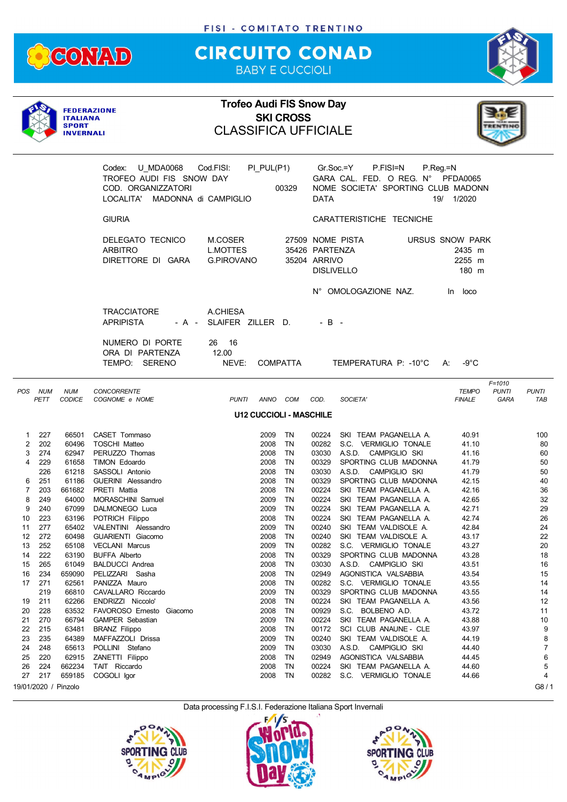

## **CIRCUITO CONAD** BABY E CUCCIOLI



|             |                   | <b>ITALIANA</b><br><b>SPORT</b><br><b>INVERNALI</b> | <b>FEDERAZIONE</b>                                                                                             | <b>Trofeo Audi FIS Snow Day</b><br><b>CLASSIFICA UFFICIALE</b> |                      | <b>SKI CROSS</b>               |                                                     |                                                                                                     |                                              |                                    |                     |
|-------------|-------------------|-----------------------------------------------------|----------------------------------------------------------------------------------------------------------------|----------------------------------------------------------------|----------------------|--------------------------------|-----------------------------------------------------|-----------------------------------------------------------------------------------------------------|----------------------------------------------|------------------------------------|---------------------|
|             |                   |                                                     | <b>U MDA0068</b><br>Codex:<br>TROFEO AUDI FIS SNOW DAY<br>COD. ORGANIZZATORI<br>LOCALITA' MADONNA di CAMPIGLIO | Cod.FISI:                                                      | PI_PUL(P1)           | 00329                          | DATA                                                | $Gr.Soc = Y$<br>P.FISI=N<br>GARA CAL. FED. O REG. N° PFDA0065<br>NOME SOCIETA' SPORTING CLUB MADONN | $P_{\cdot}$ Reg = N<br>19/ 1/2020            |                                    |                     |
|             |                   |                                                     | <b>GIURIA</b>                                                                                                  |                                                                |                      |                                |                                                     | CARATTERISTICHE TECNICHE                                                                            |                                              |                                    |                     |
|             |                   |                                                     | DELEGATO TECNICO<br><b>ARBITRO</b><br>DIRETTORE DI GARA                                                        | M.COSER<br><b>L.MOTTES</b><br><b>G.PIROVANO</b>                |                      |                                | 35426 PARTENZA<br>35204 ARRIVO<br><b>DISLIVELLO</b> | 27509 NOME PISTA                                                                                    | URSUS SNOW PARK<br>2435 m<br>2255 m<br>180 m |                                    |                     |
|             |                   |                                                     |                                                                                                                |                                                                |                      |                                |                                                     | N° OMOLOGAZIONE NAZ.                                                                                | In loco                                      |                                    |                     |
|             |                   |                                                     | <b>TRACCIATORE</b><br><b>APRIPISTA</b>                                                                         | A.CHIESA<br>- A - SLAIFER ZILLER D.                            |                      |                                | $-B -$                                              |                                                                                                     |                                              |                                    |                     |
|             |                   |                                                     | NUMERO DI PORTE<br>ORA DI PARTENZA<br>TEMPO: SERENO                                                            | 26 16<br>12.00<br>NEVE:                                        |                      | <b>COMPATTA</b>                |                                                     | TEMPERATURA P: -10°C A:                                                                             | -9°C                                         |                                    |                     |
| POS NUM     | PETT              | <b>NUM</b><br><b>CODICE</b>                         | <b>CONCORRENTE</b><br>COGNOME e NOME                                                                           | <b>PUNTI</b>                                                   |                      | ANNO COM                       | COD.                                                | SOCIETA'                                                                                            | <b>TEMPO</b><br><b>FINALE</b>                | $F = 1010$<br><b>PUNTI</b><br>GARA | <b>PUNTI</b><br>TAB |
|             |                   |                                                     |                                                                                                                |                                                                |                      | <b>U12 CUCCIOLI - MASCHILE</b> |                                                     |                                                                                                     |                                              |                                    |                     |
| 1<br>2<br>3 | 227<br>202<br>274 | 66501<br>60496<br>62947                             | CASET Tommaso<br><b>TOSCHI Matteo</b><br>PERUZZO Thomas                                                        |                                                                | 2009<br>2008<br>2008 | TN<br>TN<br>TN                 | 00224<br>03030                                      | SKI TEAM PAGANELLA A.<br>00282 S.C. VERMIGLIO TONALE<br>A.S.D. CAMPIGLIO SKI                        | 40.91<br>41.10<br>41.16                      |                                    | 100<br>80<br>60     |
| 4           | 229<br>226        | 61658<br>61218                                      | <b>TIMON Edoardo</b><br>SASSOLI Antonio                                                                        |                                                                | 2008<br>2008         | TN<br>TN                       | 00329<br>03030                                      | SPORTING CLUB MADONNA<br>A.S.D. CAMPIGLIO SKI                                                       | 41.79<br>41.79                               |                                    | 50<br>50            |
| 6<br>7      | 251<br>203        | 61186<br>661682                                     | GUERINI Alessandro<br>PRETI Mattia                                                                             |                                                                | 2008<br>2008         | TN<br>TN                       | 00329<br>00224                                      | SPORTING CLUB MADONNA<br>SKI TEAM PAGANELLA A.                                                      | 42.15<br>42.16                               |                                    | 40<br>36            |
| 8           | 249               | 64000                                               | MORASCHINI Samuel                                                                                              |                                                                | 2009                 | TN                             | 00224                                               | SKI TEAM PAGANELLA A.                                                                               | 42.65                                        |                                    | 32                  |
| 9<br>10     | 240<br>223        | 67099                                               | DALMONEGO Luca<br>63196 POTRICH Filippo                                                                        |                                                                | 2009<br>2008         | TN<br>TN                       | 00224<br>00224                                      | SKI TEAM PAGANELLA A.<br>SKI TEAM PAGANELLA A.                                                      | 42.71<br>42.74                               |                                    | 29<br>26            |
| 11          | 277               |                                                     | 65402 VALENTINI Alessandro                                                                                     |                                                                | 2009 TN              |                                |                                                     | 00240 SKI TEAM VALDISOLE A.                                                                         | 42.84                                        |                                    | 24                  |
| 12          | 272               | 60498                                               | GUARIENTI Giacomo                                                                                              |                                                                | 2008                 | TN                             | 00240                                               | SKI TEAM VALDISOLE A.                                                                               | 43.17                                        |                                    | 22                  |
| 13          | 252<br>222        | 65108                                               | <b>VECLANI Marcus</b><br><b>BUFFA Alberto</b>                                                                  |                                                                | 2009<br>2008         | TN<br>TN                       | 00282                                               | S.C. VERMIGLIO TONALE                                                                               | 43.27<br>43.28                               |                                    | 20<br>18            |
| 14<br>15    | 265               | 63190<br>61049                                      | <b>BALDUCCI Andrea</b>                                                                                         |                                                                | 2008                 | TN                             | 00329<br>03030                                      | SPORTING CLUB MADONNA<br>A.S.D. CAMPIGLIO SKI                                                       | 43.51                                        |                                    | 16                  |
| 16          | 234               | 659090                                              | PELIZZARI Sasha                                                                                                |                                                                | 2008                 | TN                             | 02949                                               | AGONISTICA VALSABBIA                                                                                | 43.54                                        |                                    | 15                  |
| 17          | 271               | 62561                                               | PANIZZA Mauro                                                                                                  |                                                                | 2008                 | TN                             | 00282                                               | S.C. VERMIGLIO TONALE                                                                               | 43.55                                        |                                    | 14                  |
|             | 219               | 66810                                               | CAVALLARO Riccardo<br>ENDRIZZI Niccolo'                                                                        |                                                                | 2009                 | TN                             | 00329                                               | SPORTING CLUB MADONNA                                                                               | 43.55                                        |                                    | 14                  |
| 19<br>20    | 211<br>228        | 62266<br>63532                                      | FAVOROSO Ernesto Giacomo                                                                                       |                                                                | 2008<br>2008         | TN<br>TN                       | 00224<br>00929                                      | SKI TEAM PAGANELLA A.<br>S.C. BOLBENO A.D.                                                          | 43.56<br>43.72                               |                                    | 12<br>11            |
| 21          | 270               | 66794                                               | <b>GAMPER Sebastian</b>                                                                                        |                                                                | 2009                 | TN                             | 00224                                               | SKI TEAM PAGANELLA A.                                                                               | 43.88                                        |                                    | 10                  |
| 22          | 215               | 63481                                               | <b>BRANZ Filippo</b>                                                                                           |                                                                | 2008                 | TN                             | 00172                                               | SCI CLUB ANAUNE - CLE                                                                               | 43.97                                        |                                    | 9                   |
| 23          | 235               | 64389                                               | MAFFAZZOLI Drissa                                                                                              |                                                                | 2009                 | TN                             | 00240                                               | SKI TEAM VALDISOLE A.                                                                               | 44.19                                        |                                    | 8                   |
| 24<br>25    | 248<br>220        | 65613<br>62915                                      | POLLINI Stefano<br>ZANETTI Filippo                                                                             |                                                                | 2009<br>2008         | TN<br>TN                       | 03030<br>02949                                      | A.S.D. CAMPIGLIO SKI<br>AGONISTICA VALSABBIA                                                        | 44.40<br>44.45                               |                                    | $\overline{7}$<br>6 |
| 26          | 224               | 662234                                              | TAIT Riccardo                                                                                                  |                                                                | 2008                 | TN                             | 00224                                               | SKI TEAM PAGANELLA A.                                                                               | 44.60                                        |                                    | 5                   |
| 27          | 217               | 659185                                              | COGOLI Igor                                                                                                    |                                                                | 2008                 | TN                             | 00282                                               | S.C. VERMIGLIO TONALE                                                                               | 44.66                                        |                                    | 4                   |
|             |                   | 19/01/2020 / Pinzolo                                |                                                                                                                |                                                                |                      |                                |                                                     |                                                                                                     |                                              |                                    | G8/1                |